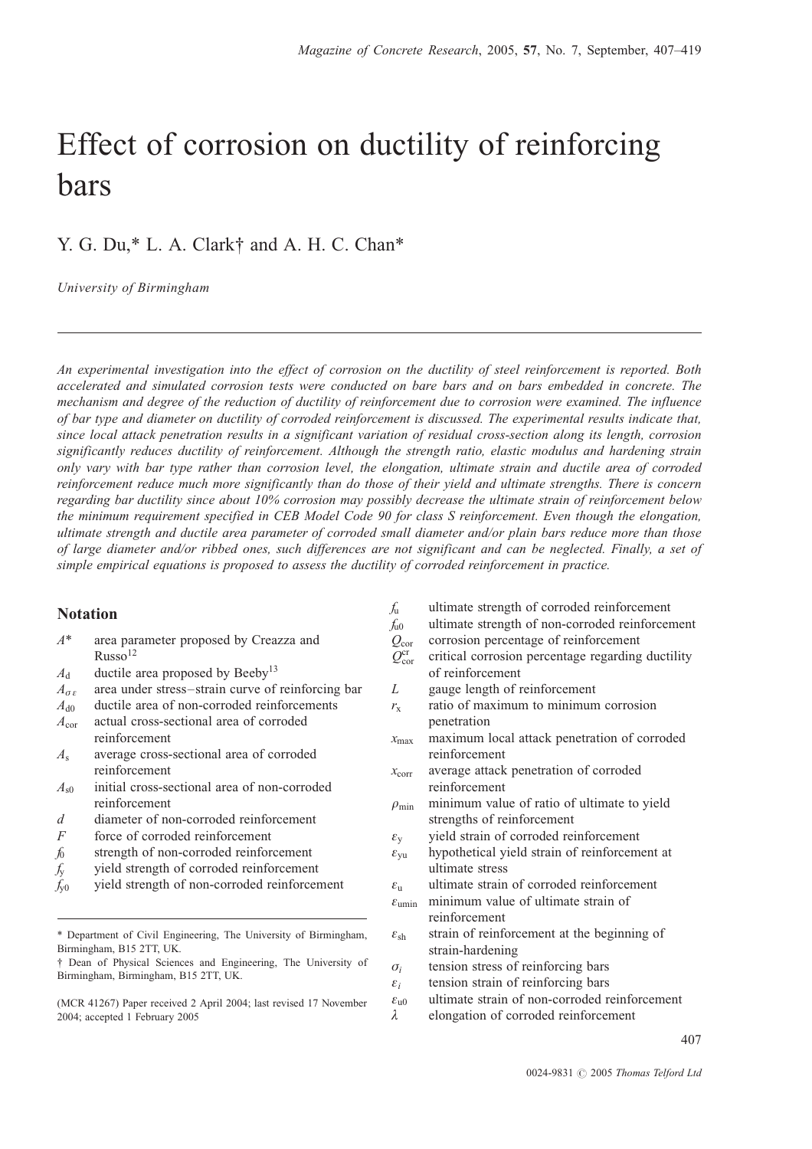# Effect of corrosion on ductility of reinforcing bars

# Y. G. Du,\* L. A. Clark† and A. H. C. Chan\*

University of Birmingham

An experimental investigation into the effect of corrosion on the ductility of steel reinforcement is reported. Both accelerated and simulated corrosion tests were conducted on bare bars and on bars embedded in concrete. The mechanism and degree of the reduction of ductility of reinforcement due to corrosion were examined. The influence of bar type and diameter on ductility of corroded reinforcement is discussed. The experimental results indicate that, since local attack penetration results in a significant variation of residual cross-section along its length, corrosion significantly reduces ductility of reinforcement. Although the strength ratio, elastic modulus and hardening strain only vary with bar type rather than corrosion level, the elongation, ultimate strain and ductile area of corroded reinforcement reduce much more significantly than do those of their yield and ultimate strengths. There is concern regarding bar ductility since about 10% corrosion may possibly decrease the ultimate strain of reinforcement below the minimum requirement specified in CEB Model Code 90 for class S reinforcement. Even though the elongation, ultimate strength and ductile area parameter of corroded small diameter and/or plain bars reduce more than those of large diameter and/or ribbed ones, such differences are not significant and can be neglected. Finally, a set of simple empirical equations is proposed to assess the ductility of corroded reinforcement in practice.

# **Notation**

|                                                                  |                                                                                                                   | $f_{\rm u0}$                  | ultimate strength of non-corroded reinforcement   |
|------------------------------------------------------------------|-------------------------------------------------------------------------------------------------------------------|-------------------------------|---------------------------------------------------|
| $A^*$                                                            | area parameter proposed by Creazza and                                                                            | $Q_{\rm cor}$                 | corrosion percentage of reinforcement             |
|                                                                  | Russo <sup>12</sup>                                                                                               | $Q_{\rm cor}^{\rm cr}$        | critical corrosion percentage regarding ductility |
| $A_{d}$                                                          | ductile area proposed by Beeby <sup>13</sup>                                                                      |                               | of reinforcement                                  |
| $A_{\sigma\epsilon}$                                             | area under stress-strain curve of reinforcing bar                                                                 | L                             | gauge length of reinforcement                     |
| $A_{d0}$                                                         | ductile area of non-corroded reinforcements                                                                       | $r_{\rm x}$                   | ratio of maximum to minimum corrosion             |
| $A_{\rm cor}$                                                    | actual cross-sectional area of corroded                                                                           |                               | penetration                                       |
|                                                                  | reinforcement                                                                                                     | $x_{\text{max}}$              | maximum local attack penetration of corroded      |
| $A_{\rm s}$                                                      | average cross-sectional area of corroded                                                                          |                               | reinforcement                                     |
|                                                                  | reinforcement                                                                                                     | $x_{\rm corr}$                | average attack penetration of corroded            |
| $A_{\rm s0}$                                                     | initial cross-sectional area of non-corroded                                                                      |                               | reinforcement                                     |
|                                                                  | reinforcement                                                                                                     | $\rho_{\min}$                 | minimum value of ratio of ultimate to yield       |
| $\overline{d}$                                                   | diameter of non-corroded reinforcement                                                                            |                               | strengths of reinforcement                        |
| F                                                                | force of corroded reinforcement                                                                                   | $\varepsilon_{\rm v}$         | yield strain of corroded reinforcement            |
| fo                                                               | strength of non-corroded reinforcement                                                                            | $\varepsilon_{\text{vu}}$     | hypothetical yield strain of reinforcement at     |
| $f_{y}$                                                          | yield strength of corroded reinforcement                                                                          |                               | ultimate stress                                   |
| $f_{\rm y0}$                                                     | yield strength of non-corroded reinforcement                                                                      | $\varepsilon_{\rm u}$         | ultimate strain of corroded reinforcement         |
|                                                                  |                                                                                                                   | $\varepsilon$ <sub>umin</sub> | minimum value of ultimate strain of               |
|                                                                  |                                                                                                                   |                               | reinforcement                                     |
| * Department of Civil Engineering, The University of Birmingham, |                                                                                                                   | $\varepsilon_{\rm sh}$        | strain of reinforcement at the beginning of       |
|                                                                  | Birmingham, B15 2TT, UK.                                                                                          |                               | strain-hardening                                  |
|                                                                  | <sup>†</sup> Dean of Physical Sciences and Engineering, The University of<br>Birmingham, Birmingham, B15 2TT, UK. | $\sigma_i$                    | tension stress of reinforcing bars                |
|                                                                  |                                                                                                                   | $\varepsilon_i$               | tension strain of reinforcing bars                |
|                                                                  | (MCR 41267) Paper received 2 April 2004; last revised 17 November                                                 | $\varepsilon_{\rm u0}$        | ultimate strain of non-corroded reinforcement     |
|                                                                  | 2004: accepted 1 February 2005                                                                                    | λ                             | elongation of corroded reinforcement              |

 $\lambda$  elongation of corroded reinforcement

 $f<sub>u</sub>$  ultimate strength of corroded reinforcement

407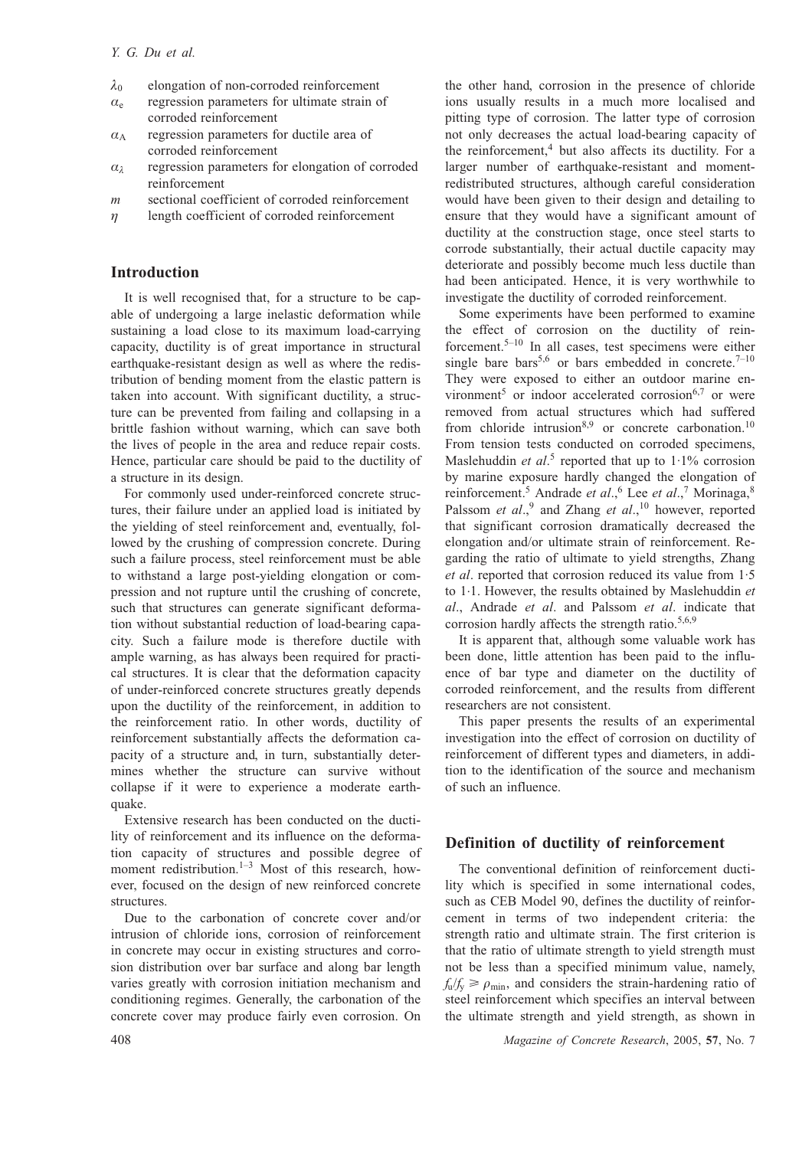- $\lambda_0$  elongation of non-corroded reinforcement
- $\alpha_e$  regression parameters for ultimate strain of corroded reinforcement
- $\alpha_A$  regression parameters for ductile area of corroded reinforcement
- $\alpha_{\lambda}$  regression parameters for elongation of corroded reinforcement
- $m$  sectional coefficient of corroded reinforcement

 $\eta$  length coefficient of corroded reinforcement

#### Introduction

It is well recognised that, for a structure to be capable of undergoing a large inelastic deformation while sustaining a load close to its maximum load-carrying capacity, ductility is of great importance in structural earthquake-resistant design as well as where the redistribution of bending moment from the elastic pattern is taken into account. With significant ductility, a structure can be prevented from failing and collapsing in a brittle fashion without warning, which can save both the lives of people in the area and reduce repair costs. Hence, particular care should be paid to the ductility of a structure in its design.

For commonly used under-reinforced concrete structures, their failure under an applied load is initiated by the yielding of steel reinforcement and, eventually, followed by the crushing of compression concrete. During such a failure process, steel reinforcement must be able to withstand a large post-yielding elongation or compression and not rupture until the crushing of concrete, such that structures can generate significant deformation without substantial reduction of load-bearing capacity. Such a failure mode is therefore ductile with ample warning, as has always been required for practical structures. It is clear that the deformation capacity of under-reinforced concrete structures greatly depends upon the ductility of the reinforcement, in addition to the reinforcement ratio. In other words, ductility of reinforcement substantially affects the deformation capacity of a structure and, in turn, substantially determines whether the structure can survive without collapse if it were to experience a moderate earthquake.

Extensive research has been conducted on the ductility of reinforcement and its influence on the deformation capacity of structures and possible degree of moment redistribution.<sup>[1–3](#page-11-0)</sup> Most of this research, however, focused on the design of new reinforced concrete structures.

Due to the carbonation of concrete cover and/or intrusion of chloride ions, corrosion of reinforcement in concrete may occur in existing structures and corrosion distribution over bar surface and along bar length varies greatly with corrosion initiation mechanism and conditioning regimes. Generally, the carbonation of the concrete cover may produce fairly even corrosion. On

the other hand, corrosion in the presence of chloride ions usually results in a much more localised and pitting type of corrosion. The latter type of corrosion not only decreases the actual load-bearing capacity of the reinforcement,<sup>[4](#page-11-0)</sup> but also affects its ductility. For a larger number of earthquake-resistant and momentredistributed structures, although careful consideration would have been given to their design and detailing to ensure that they would have a significant amount of ductility at the construction stage, once steel starts to corrode substantially, their actual ductile capacity may deteriorate and possibly become much less ductile than had been anticipated. Hence, it is very worthwhile to investigate the ductility of corroded reinforcement.

Some experiments have been performed to examine the effect of corrosion on the ductility of reinforcement.[5](#page-11-0)[–10](#page-12-0) In all cases, test specimens were either single bare bars<sup>[5,6](#page-11-0)</sup> or bars embedded in concrete.<sup>[7](#page-11-0)-10</sup> They were exposed to either an outdoor marine en-vironment<sup>[5](#page-11-0)</sup> or indoor accelerated corrosion<sup>[6,7](#page-11-0)</sup> or were removed from actual structures which had suffered from chloride intrusion $8,9$  or concrete carbonation.<sup>[10](#page-12-0)</sup> From tension tests conducted on corroded specimens, Maslehuddin et  $al$ <sup>[5](#page-11-0)</sup> reported that up to  $1.1\%$  corrosion by marine exposure hardly changed the elongation of reinforcement.<sup>[5](#page-11-0)</sup> Andrade et al.,<sup>[6](#page-11-0)</sup> Lee et al.,<sup>[7](#page-11-0)</sup> Morinaga,<sup>[8](#page-11-0)</sup> Palssom *et al.*,<sup>[9](#page-11-0)</sup> and Zhang *et al.*,<sup>[10](#page-12-0)</sup> however, reported that significant corrosion dramatically decreased the elongation and/or ultimate strain of reinforcement. Regarding the ratio of ultimate to yield strengths, Zhang et al. reported that corrosion reduced its value from 1.5 to  $1.1$ . However, the results obtained by Maslehuddin et al., Andrade et al. and Palssom et al. indicate that corrosion hardly affects the strength ratio. $5,6,9$ 

It is apparent that, although some valuable work has been done, little attention has been paid to the influence of bar type and diameter on the ductility of corroded reinforcement, and the results from different researchers are not consistent.

This paper presents the results of an experimental investigation into the effect of corrosion on ductility of reinforcement of different types and diameters, in addition to the identification of the source and mechanism of such an influence.

# Definition of ductility of reinforcement

The conventional definition of reinforcement ductility which is specified in some international codes, such as CEB Model 90, defines the ductility of reinforcement in terms of two independent criteria: the strength ratio and ultimate strain. The first criterion is that the ratio of ultimate strength to yield strength must not be less than a specified minimum value, namely,  $f_n/f_v \ge \rho_{\min}$ , and considers the strain-hardening ratio of steel reinforcement which specifies an interval between the ultimate strength and yield strength, as shown in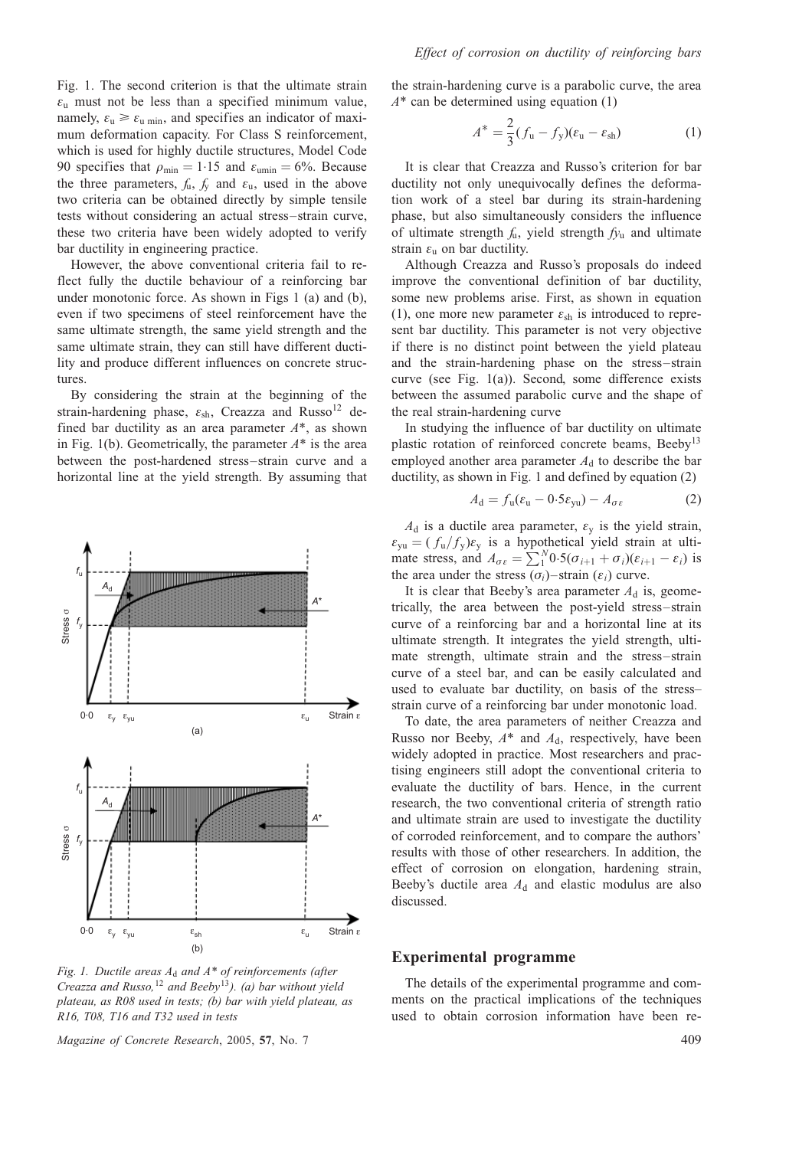<span id="page-2-0"></span>Fig. 1. The second criterion is that the ultimate strain  $\varepsilon$ <sub>u</sub> must not be less than a specified minimum value, namely,  $\varepsilon_{\rm u} \ge \varepsilon_{\rm u,min}$ , and specifies an indicator of maximum deformation capacity. For Class S reinforcement, which is used for highly ductile structures, Model Code 90 specifies that  $\rho_{\min} = 1.15$  and  $\varepsilon_{\text{umin}} = 6\%$ . Because the three parameters,  $f_u$ ,  $f_y$  and  $\varepsilon_u$ , used in the above two criteria can be obtained directly by simple tensile tests without considering an actual stress–strain curve, these two criteria have been widely adopted to verify bar ductility in engineering practice.

However, the above conventional criteria fail to reflect fully the ductile behaviour of a reinforcing bar under monotonic force. As shown in Figs 1 (a) and (b), even if two specimens of steel reinforcement have the same ultimate strength, the same yield strength and the same ultimate strain, they can still have different ductility and produce different influences on concrete structures.

By considering the strain at the beginning of the strain-hardening phase,  $\varepsilon_{\rm sh}$ , Creazza and Russo<sup>[12](#page-12-0)</sup> defined bar ductility as an area parameter  $A^*$ , as shown in Fig. 1(b). Geometrically, the parameter  $A^*$  is the area between the post-hardened stress–strain curve and a horizontal line at the yield strength. By assuming that



Fig. 1. Ductile areas  $A_d$  and  $A^*$  of reinforcements (after Creazza and Russo,<sup>[12](#page-12-0)</sup> and Beeby<sup>[13](#page-12-0)</sup>). (a) bar without yield plateau, as R08 used in tests; (b) bar with yield plateau, as R16, T08, T16 and T32 used in tests

Magazine of Concrete Research, 2005, 57, No. 7 409

the strain-hardening curve is a parabolic curve, the area  $A^*$  can be determined using equation (1)

$$
A^* = \frac{2}{3}(f_{\rm u} - f_{\rm y})(\varepsilon_{\rm u} - \varepsilon_{\rm sh})\tag{1}
$$

It is clear that Creazza and Russo's criterion for bar ductility not only unequivocally defines the deformation work of a steel bar during its strain-hardening phase, but also simultaneously considers the influence of ultimate strength  $f_0$ , yield strength  $f_{y_0}$  and ultimate strain  $\varepsilon$ <sub>u</sub> on bar ductility.

Although Creazza and Russo's proposals do indeed improve the conventional definition of bar ductility, some new problems arise. First, as shown in equation (1), one more new parameter  $\varepsilon_{sh}$  is introduced to represent bar ductility. This parameter is not very objective if there is no distinct point between the yield plateau and the strain-hardening phase on the stress–strain curve (see Fig. 1(a)). Second, some difference exists between the assumed parabolic curve and the shape of the real strain-hardening curve

In studying the influence of bar ductility on ultimate plastic rotation of reinforced concrete beams, Beeby<sup>[13](#page-12-0)</sup> employed another area parameter  $A_d$  to describe the bar ductility, as shown in Fig. 1 and defined by equation (2)

$$
A_{\rm d} = f_{\rm u}(\varepsilon_{\rm u} - 0.5\varepsilon_{\rm yu}) - A_{\sigma\varepsilon} \tag{2}
$$

 $A_d$  is a ductile area parameter,  $\varepsilon_y$  is the yield strain,  $\varepsilon_{\text{yu}} = (f_{\text{u}}/f_{\text{y}})\varepsilon_{\text{y}}$  is a hypothetical yield strain at ulti- $\epsilon_{\text{yul}} = (\gamma_{\text{u}}/\gamma_{\text{y}}/\gamma_{\text{y}})$  is a hypomotical yield statin at did mate stress, and  $A_{\sigma\epsilon} = \sum_{1}^{N} 0.5(\sigma_{i+1} + \sigma_i)(\epsilon_{i+1} - \epsilon_i)$  is the area under the stress  $(\sigma_i)$ –strain  $(\varepsilon_i)$  curve.

It is clear that Beeby's area parameter  $A_d$  is, geometrically, the area between the post-yield stress–strain curve of a reinforcing bar and a horizontal line at its ultimate strength. It integrates the yield strength, ultimate strength, ultimate strain and the stress–strain curve of a steel bar, and can be easily calculated and used to evaluate bar ductility, on basis of the stress– strain curve of a reinforcing bar under monotonic load.

To date, the area parameters of neither Creazza and Russo nor Beeby,  $A^*$  and  $A_d$ , respectively, have been widely adopted in practice. Most researchers and practising engineers still adopt the conventional criteria to evaluate the ductility of bars. Hence, in the current research, the two conventional criteria of strength ratio and ultimate strain are used to investigate the ductility of corroded reinforcement, and to compare the authors' results with those of other researchers. In addition, the effect of corrosion on elongation, hardening strain, Beeby's ductile area  $A_d$  and elastic modulus are also discussed.

#### Experimental programme

The details of the experimental programme and comments on the practical implications of the techniques used to obtain corrosion information have been re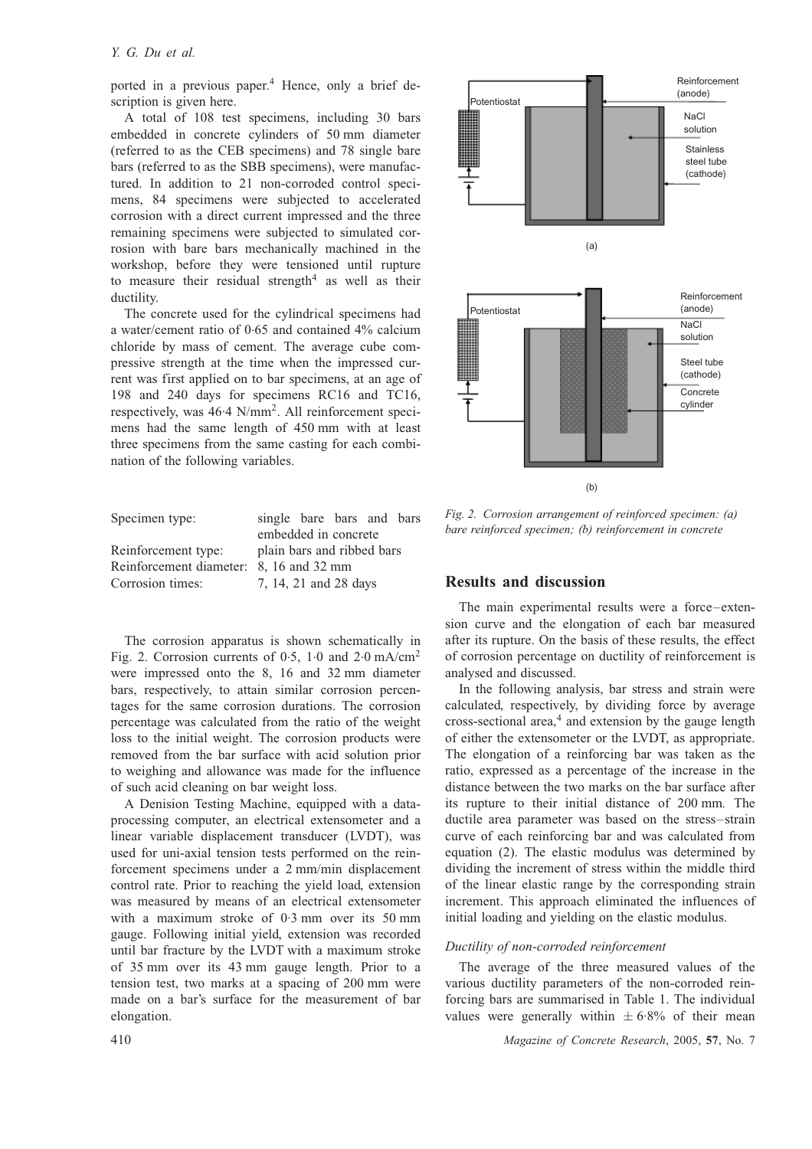<span id="page-3-0"></span>ported in a previous paper.<sup>[4](#page-11-0)</sup> Hence, only a brief description is given here.

A total of 108 test specimens, including 30 bars embedded in concrete cylinders of 50 mm diameter (referred to as the CEB specimens) and 78 single bare bars (referred to as the SBB specimens), were manufactured. In addition to 21 non-corroded control specimens, 84 specimens were subjected to accelerated corrosion with a direct current impressed and the three remaining specimens were subjected to simulated corrosion with bare bars mechanically machined in the workshop, before they were tensioned until rupture to measure their residual strength $4$  as well as their ductility.

The concrete used for the cylindrical specimens had a water/cement ratio of 0.65 and contained 4% calcium chloride by mass of cement. The average cube compressive strength at the time when the impressed current was first applied on to bar specimens, at an age of 198 and 240 days for specimens RC16 and TC16, respectively, was 46.4 N/mm2. All reinforcement specimens had the same length of 450 mm with at least three specimens from the same casting for each combination of the following variables.

| Specimen type:                          | single bare bars and bars  |  |  |
|-----------------------------------------|----------------------------|--|--|
|                                         | embedded in concrete       |  |  |
| Reinforcement type:                     | plain bars and ribbed bars |  |  |
| Reinforcement diameter: 8, 16 and 32 mm |                            |  |  |
| Corrosion times:                        | 7, 14, 21 and 28 days      |  |  |

The corrosion apparatus is shown schematically in Fig. 2. Corrosion currents of 0.5, 1.0 and  $2.0 \text{ mA/cm}^2$ were impressed onto the 8, 16 and 32 mm diameter bars, respectively, to attain similar corrosion percentages for the same corrosion durations. The corrosion percentage was calculated from the ratio of the weight loss to the initial weight. The corrosion products were removed from the bar surface with acid solution prior to weighing and allowance was made for the influence of such acid cleaning on bar weight loss.

A Denision Testing Machine, equipped with a dataprocessing computer, an electrical extensometer and a linear variable displacement transducer (LVDT), was used for uni-axial tension tests performed on the reinforcement specimens under a 2 mm/min displacement control rate. Prior to reaching the yield load, extension was measured by means of an electrical extensometer with a maximum stroke of 0.3 mm over its 50 mm gauge. Following initial yield, extension was recorded until bar fracture by the LVDT with a maximum stroke of 35 mm over its 43 mm gauge length. Prior to a tension test, two marks at a spacing of 200 mm were made on a bar's surface for the measurement of bar elongation.



Fig. 2. Corrosion arrangement of reinforced specimen: (a) bare reinforced specimen; (b) reinforcement in concrete

#### Results and discussion

The main experimental results were a force–extension curve and the elongation of each bar measured after its rupture. On the basis of these results, the effect of corrosion percentage on ductility of reinforcement is analysed and discussed.

In the following analysis, bar stress and strain were calculated, respectively, by dividing force by average  $cross-sectional area<sup>4</sup> and extension by the gauge length$  $cross-sectional area<sup>4</sup> and extension by the gauge length$  $cross-sectional area<sup>4</sup> and extension by the gauge length$ of either the extensometer or the LVDT, as appropriate. The elongation of a reinforcing bar was taken as the ratio, expressed as a percentage of the increase in the distance between the two marks on the bar surface after its rupture to their initial distance of 200 mm. The ductile area parameter was based on the stress–strain curve of each reinforcing bar and was calculated from equation [\(2\)](#page-2-0). The elastic modulus was determined by dividing the increment of stress within the middle third of the linear elastic range by the corresponding strain increment. This approach eliminated the influences of initial loading and yielding on the elastic modulus.

#### Ductility of non-corroded reinforcement

The average of the three measured values of the various ductility parameters of the non-corroded reinforcing bars are summarised in Table [1.](#page-4-0) The individual values were generally within  $\pm 6.8\%$  of their mean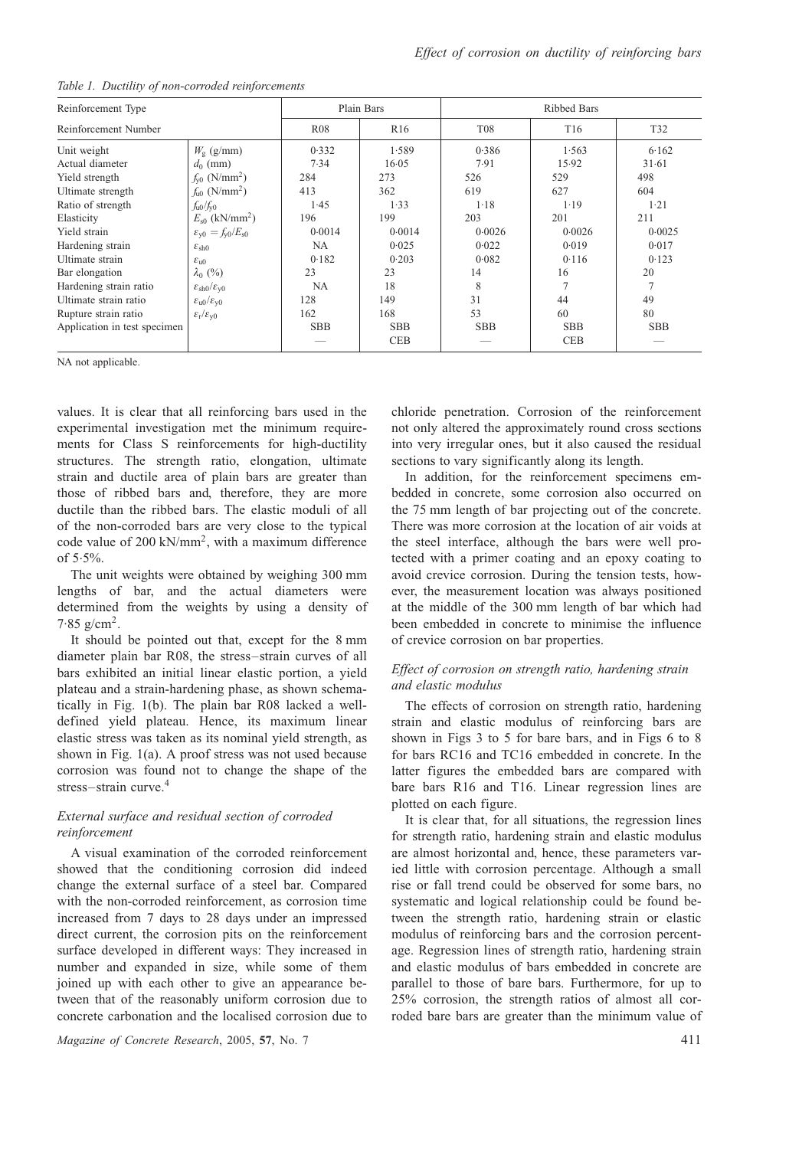| Reinforcement Type                                                                                                                                                                                                                                                                                                                                                                                                                 |                                                                                                               | Plain Bars                                                                                                          |                                                                                                               | <b>Ribbed Bars</b>                                                                                      |                                                                                                         |  |
|------------------------------------------------------------------------------------------------------------------------------------------------------------------------------------------------------------------------------------------------------------------------------------------------------------------------------------------------------------------------------------------------------------------------------------|---------------------------------------------------------------------------------------------------------------|---------------------------------------------------------------------------------------------------------------------|---------------------------------------------------------------------------------------------------------------|---------------------------------------------------------------------------------------------------------|---------------------------------------------------------------------------------------------------------|--|
|                                                                                                                                                                                                                                                                                                                                                                                                                                    | <b>R08</b>                                                                                                    | R <sub>16</sub>                                                                                                     | <b>T08</b>                                                                                                    | T <sub>16</sub>                                                                                         | T32                                                                                                     |  |
| $W_{\rm g}$ (g/mm)<br>$d_0$ (mm)<br>$f_{y0}$ (N/mm <sup>2</sup> )<br>$f_{\rm u0}$ (N/mm <sup>2</sup> )<br>$f_{\rm u0}/f_{\rm v0}$<br>$E_{\rm s0}$ (kN/mm <sup>2</sup> )<br>$\varepsilon_{y0} = f_{y0}/E_{s0}$<br>$\varepsilon_{\rm sh0}$<br>$\varepsilon_{\rm u0}$<br>$\lambda_0$ (%)<br>$\varepsilon_{\rm sh0}/\varepsilon_{\rm v0}$<br>$\varepsilon_{\rm u0}/\varepsilon_{\rm v0}$<br>$\varepsilon_{\rm r}/\varepsilon_{\rm v0}$ | 0.332<br>7.34<br>284<br>413<br>1.45<br>196<br>0.0014<br>NA.<br>0.182<br>23<br>NA.<br>128<br>162<br><b>SBB</b> | 1.589<br>$16 - 05$<br>273<br>362<br>1.33<br>199<br>0.0014<br>0.025<br>0.203<br>23<br>18<br>149<br>168<br><b>SBB</b> | 0.386<br>7.91<br>526<br>619<br>$1-18$<br>203<br>0.0026<br>0.022<br>0.082<br>14<br>8<br>31<br>53<br><b>SBB</b> | 1.563<br>15.92<br>529<br>627<br>1.19<br>201<br>0.0026<br>0.019<br>0.116<br>16<br>44<br>60<br><b>SBB</b> | 6.162<br>31.61<br>498<br>604<br>1.21<br>211<br>0.0025<br>0.017<br>0.123<br>20<br>49<br>80<br><b>SBB</b> |  |
|                                                                                                                                                                                                                                                                                                                                                                                                                                    |                                                                                                               |                                                                                                                     |                                                                                                               |                                                                                                         |                                                                                                         |  |
|                                                                                                                                                                                                                                                                                                                                                                                                                                    |                                                                                                               |                                                                                                                     | <b>CEB</b>                                                                                                    |                                                                                                         | <b>CEB</b>                                                                                              |  |

<span id="page-4-0"></span>Table 1. Ductility of non-corroded reinforcements

NA not applicable.

values. It is clear that all reinforcing bars used in the experimental investigation met the minimum requirements for Class S reinforcements for high-ductility structures. The strength ratio, elongation, ultimate strain and ductile area of plain bars are greater than those of ribbed bars and, therefore, they are more ductile than the ribbed bars. The elastic moduli of all of the non-corroded bars are very close to the typical code value of 200 kN/mm2, with a maximum difference of 5.5%.

The unit weights were obtained by weighing 300 mm lengths of bar, and the actual diameters were determined from the weights by using a density of  $7.85$  g/cm<sup>2</sup>.

It should be pointed out that, except for the 8 mm diameter plain bar R08, the stress–strain curves of all bars exhibited an initial linear elastic portion, a yield plateau and a strain-hardening phase, as shown schematically in Fig. [1\(](#page-2-0)b). The plain bar R08 lacked a welldefined yield plateau. Hence, its maximum linear elastic stress was taken as its nominal yield strength, as shown in Fig[. 1\(](#page-2-0)a). A proof stress was not used because corrosion was found not to change the shape of the stress–strain curv[e.4](#page-11-0)

#### External surface and residual section of corroded reinforcement

A visual examination of the corroded reinforcement showed that the conditioning corrosion did indeed change the external surface of a steel bar. Compared with the non-corroded reinforcement, as corrosion time increased from 7 days to 28 days under an impressed direct current, the corrosion pits on the reinforcement surface developed in different ways: They increased in number and expanded in size, while some of them joined up with each other to give an appearance between that of the reasonably uniform corrosion due to concrete carbonation and the localised corrosion due to

Magazine of Concrete Research, 2005, 57, No. 7 411

chloride penetration. Corrosion of the reinforcement not only altered the approximately round cross sections into very irregular ones, but it also caused the residual sections to vary significantly along its length.

In addition, for the reinforcement specimens embedded in concrete, some corrosion also occurred on the 75 mm length of bar projecting out of the concrete. There was more corrosion at the location of air voids at the steel interface, although the bars were well protected with a primer coating and an epoxy coating to avoid crevice corrosion. During the tension tests, however, the measurement location was always positioned at the middle of the 300 mm length of bar which had been embedded in concrete to minimise the influence of crevice corrosion on bar properties.

#### Effect of corrosion on strength ratio, hardening strain and elastic modulus

The effects of corrosion on strength ratio, hardening strain and elastic modulus of reinforcing bars are shown in Figs [3](#page-5-0) to [5](#page-5-0) for bare bars, and in Figs [6](#page-5-0) to [8](#page-5-0) for bars RC16 and TC16 embedded in concrete. In the latter figures the embedded bars are compared with bare bars R16 and T16. Linear regression lines are plotted on each figure.

It is clear that, for all situations, the regression lines for strength ratio, hardening strain and elastic modulus are almost horizontal and, hence, these parameters varied little with corrosion percentage. Although a small rise or fall trend could be observed for some bars, no systematic and logical relationship could be found between the strength ratio, hardening strain or elastic modulus of reinforcing bars and the corrosion percentage. Regression lines of strength ratio, hardening strain and elastic modulus of bars embedded in concrete are parallel to those of bare bars. Furthermore, for up to 25% corrosion, the strength ratios of almost all corroded bare bars are greater than the minimum value of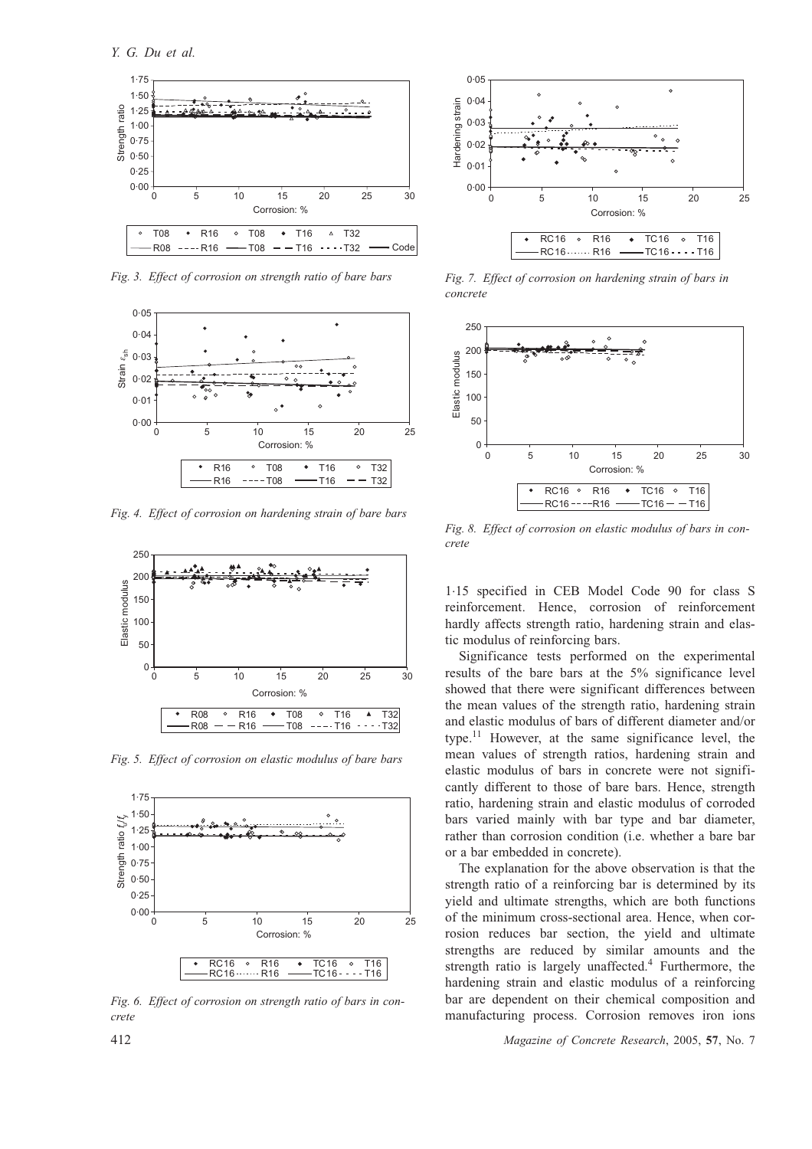<span id="page-5-0"></span>

Fig. 3. Effect of corrosion on strength ratio of bare bars



Fig. 4. Effect of corrosion on hardening strain of bare bars



Fig. 5. Effect of corrosion on elastic modulus of bare bars



Fig. 6. Effect of corrosion on strength ratio of bars in concrete



Fig. 7. Effect of corrosion on hardening strain of bars in concrete



Fig. 8. Effect of corrosion on elastic modulus of bars in concrete

1.15 specified in CEB Model Code 90 for class S reinforcement. Hence, corrosion of reinforcement hardly affects strength ratio, hardening strain and elastic modulus of reinforcing bars.

Significance tests performed on the experimental results of the bare bars at the 5% significance level showed that there were significant differences between the mean values of the strength ratio, hardening strain and elastic modulus of bars of different diameter and/or type.[11](#page-12-0) However, at the same significance level, the mean values of strength ratios, hardening strain and elastic modulus of bars in concrete were not significantly different to those of bare bars. Hence, strength ratio, hardening strain and elastic modulus of corroded bars varied mainly with bar type and bar diameter, rather than corrosion condition (i.e. whether a bare bar or a bar embedded in concrete).

The explanation for the above observation is that the strength ratio of a reinforcing bar is determined by its yield and ultimate strengths, which are both functions of the minimum cross-sectional area. Hence, when corrosion reduces bar section, the yield and ultimate strengths are reduced by similar amounts and the strength ratio is largely unaffected.<sup>[4](#page-11-0)</sup> Furthermore, the hardening strain and elastic modulus of a reinforcing bar are dependent on their chemical composition and manufacturing process. Corrosion removes iron ions

412 Magazine of Concrete Research, 2005, 57, No. 7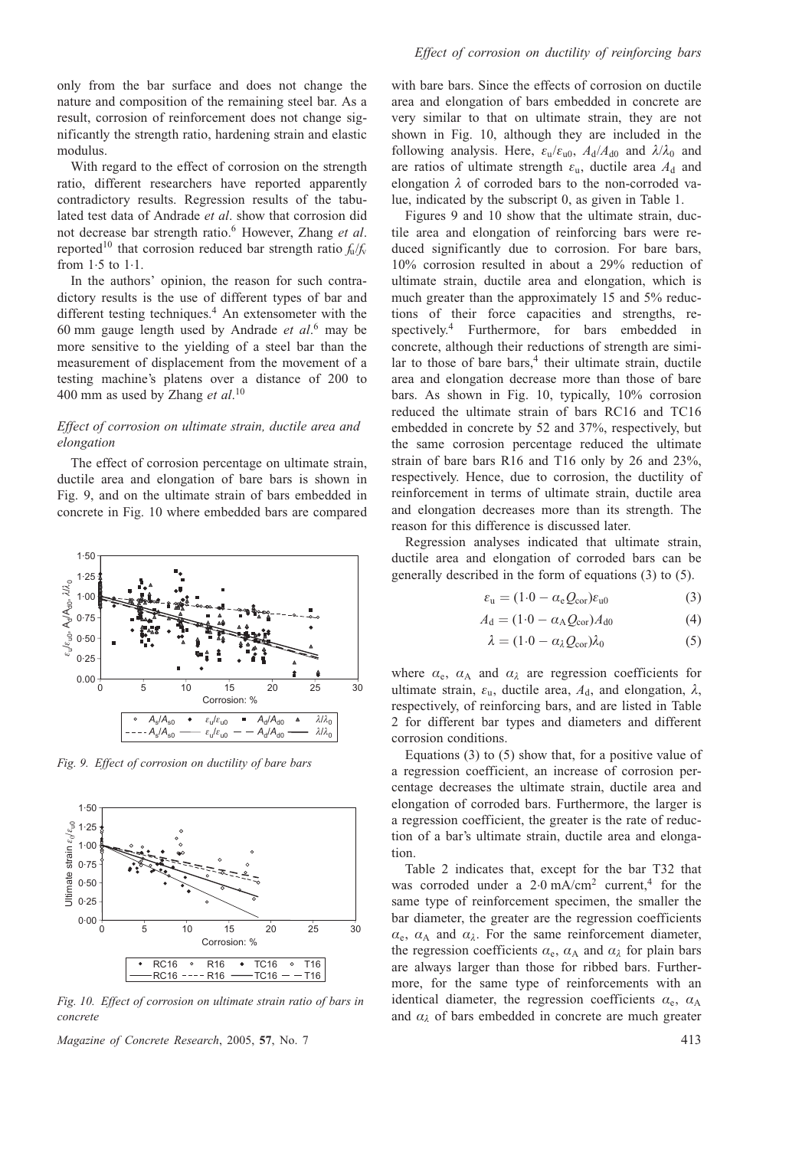only from the bar surface and does not change the nature and composition of the remaining steel bar. As a result, corrosion of reinforcement does not change significantly the strength ratio, hardening strain and elastic modulus.

With regard to the effect of corrosion on the strength ratio, different researchers have reported apparently contradictory results. Regression results of the tabulated test data of Andrade et al. show that corrosion did not decrease bar strength ratio. $6$  However, Zhang *et al.* reported<sup>[10](#page-12-0)</sup> that corrosion reduced bar strength ratio  $f_u/f_v$ from  $1.5$  to  $1.1$ .

In the authors' opinion, the reason for such contradictory results is the use of different types of bar and different testing techniques.<sup>[4](#page-11-0)</sup> An extensometer with the [6](#page-11-0)0 mm gauge length used by Andrade  $et$   $al.^6$  may be more sensitive to the yielding of a steel bar than the measurement of displacement from the movement of a testing machine's platens over a distance of 200 to 400 mm as used by Zhang *et al*.<sup>[10](#page-12-0)</sup>

#### Effect of corrosion on ultimate strain, ductile area and elongation

The effect of corrosion percentage on ultimate strain, ductile area and elongation of bare bars is shown in Fig. 9, and on the ultimate strain of bars embedded in concrete in Fig. 10 where embedded bars are compared



Fig. 9. Effect of corrosion on ductility of bare bars



Fig. 10. Effect of corrosion on ultimate strain ratio of bars in concrete

with bare bars. Since the effects of corrosion on ductile area and elongation of bars embedded in concrete are very similar to that on ultimate strain, they are not shown in Fig. 10, although they are included in the following analysis. Here,  $\varepsilon_{\rm u}/\varepsilon_{\rm u0}$ ,  $A_{\rm d}/A_{\rm d0}$  and  $\lambda/\lambda_0$  and are ratios of ultimate strength  $\varepsilon_{\rm u}$ , ductile area  $A_{\rm d}$  and elongation  $\lambda$  of corroded bars to the non-corroded value, indicated by the subscript 0, as given in Tabl[e 1.](#page-4-0)

Figures 9 and 10 show that the ultimate strain, ductile area and elongation of reinforcing bars were reduced significantly due to corrosion. For bare bars, 10% corrosion resulted in about a 29% reduction of ultimate strain, ductile area and elongation, which is much greater than the approximately 15 and 5% reductions of their force capacities and strengths, respectively.[4](#page-11-0) Furthermore, for bars embedded in concrete, although their reductions of strength are similar to those of bare bars, $4$  their ultimate strain, ductile area and elongation decrease more than those of bare bars. As shown in Fig. 10, typically, 10% corrosion reduced the ultimate strain of bars RC16 and TC16 embedded in concrete by 52 and 37%, respectively, but the same corrosion percentage reduced the ultimate strain of bare bars R16 and T16 only by 26 and 23%, respectively. Hence, due to corrosion, the ductility of reinforcement in terms of ultimate strain, ductile area and elongation decreases more than its strength. The reason for this difference is discussed later.

Regression analyses indicated that ultimate strain, ductile area and elongation of corroded bars can be generally described in the form of equations (3) to (5).

$$
\varepsilon_{\mathbf{u}} = (1 \cdot 0 - \alpha_{\mathbf{e}} \mathcal{Q}_{\text{cor}}) \varepsilon_{\mathbf{u}0} \tag{3}
$$

$$
A_{\rm d} = (1 \cdot 0 - \alpha_{\rm A} Q_{\rm cor}) A_{\rm d0} \tag{4}
$$

$$
\lambda = (1.0 - a_{\lambda} Q_{\text{cor}}) \lambda_0 \tag{5}
$$

where  $\alpha_e$ ,  $\alpha_A$  and  $\alpha_\lambda$  are regression coefficients for ultimate strain,  $\varepsilon_{\rm u}$ , ductile area,  $A_{\rm d}$ , and elongation,  $\lambda$ , respectively, of reinforcing bars, and are listed in Table [2](#page-7-0) for different bar types and diameters and different corrosion conditions.

Equations (3) to (5) show that, for a positive value of a regression coefficient, an increase of corrosion percentage decreases the ultimate strain, ductile area and elongation of corroded bars. Furthermore, the larger is a regression coefficient, the greater is the rate of reduction of a bar's ultimate strain, ductile area and elongation.

Table [2](#page-7-0) indicates that, except for the bar T32 that was corroded under a  $2.0 \text{ mA/cm}^2$  current,<sup>[4](#page-11-0)</sup> for the same type of reinforcement specimen, the smaller the bar diameter, the greater are the regression coefficients  $\alpha_e$ ,  $\alpha_A$  and  $\alpha_i$ . For the same reinforcement diameter, the regression coefficients  $\alpha_e$ ,  $\alpha_A$  and  $\alpha_{\lambda}$  for plain bars are always larger than those for ribbed bars. Furthermore, for the same type of reinforcements with an identical diameter, the regression coefficients  $\alpha_e$ ,  $\alpha_A$ and  $\alpha_{\lambda}$  of bars embedded in concrete are much greater

Magazine of Concrete Research, 2005, 57, No. 7 413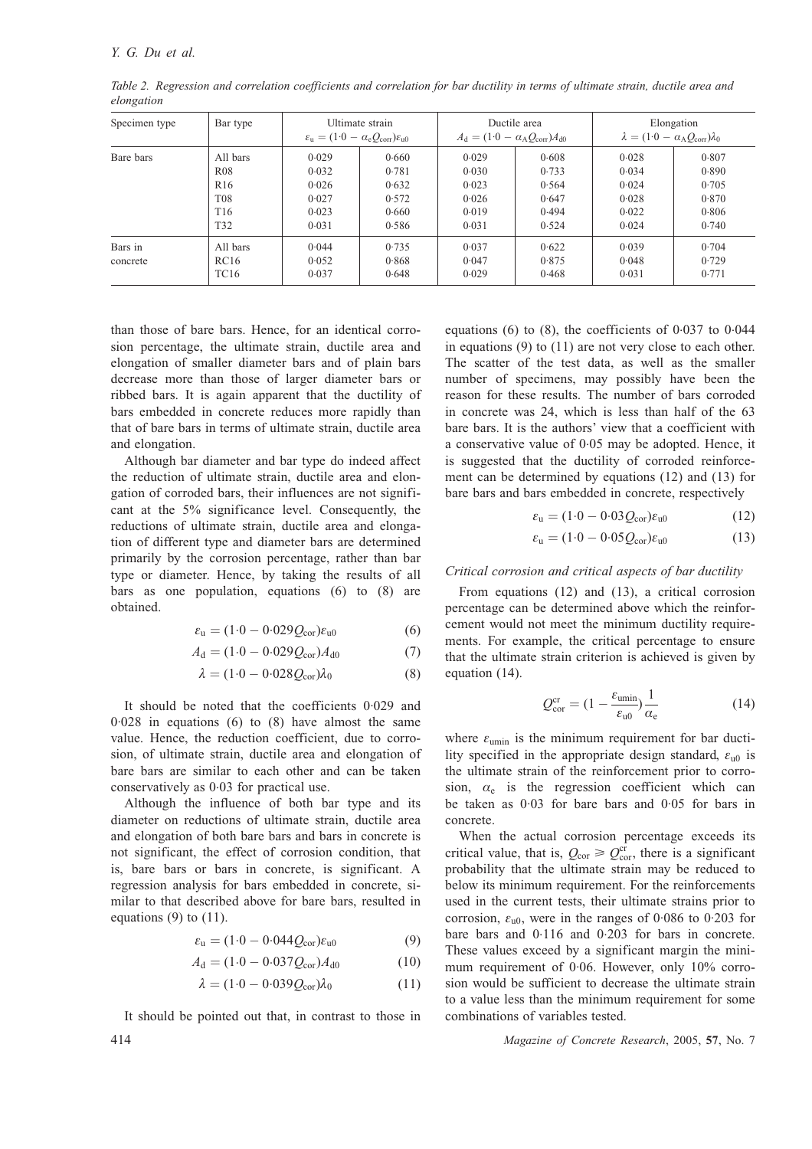| Specimen type       | Bar type                                                                                                | $\varepsilon_{\rm u} = (1 \cdot 0 - \alpha_{\rm e} Q_{\rm corr}) \varepsilon_{\rm u0}$ | <b>Ultimate</b> strain                             | $A_d = (1 \cdot 0 - \alpha_A Q_{corr}) A_{d0}$     | Ductile area                                       | $\lambda = (1.0 - a_{\rm A} Q_{\rm corr}) \lambda_0$ | Elongation                                         |
|---------------------|---------------------------------------------------------------------------------------------------------|----------------------------------------------------------------------------------------|----------------------------------------------------|----------------------------------------------------|----------------------------------------------------|------------------------------------------------------|----------------------------------------------------|
| Bare bars           | All bars<br>R <sub>08</sub><br>R <sub>16</sub><br>T <sub>08</sub><br>T <sub>16</sub><br>T <sub>32</sub> | 0.029<br>0.032<br>0.026<br>0.027<br>0.023<br>0.031                                     | 0.660<br>0.781<br>0.632<br>0.572<br>0.660<br>0.586 | 0.029<br>0.030<br>0.023<br>0.026<br>0.019<br>0.031 | 0.608<br>0.733<br>0.564<br>0.647<br>0.494<br>0.524 | 0.028<br>0.034<br>0.024<br>0.028<br>0.022<br>0.024   | 0.807<br>0.890<br>0.705<br>0.870<br>0.806<br>0.740 |
| Bars in<br>concrete | All bars<br>RC16<br>TC16                                                                                | 0.044<br>0.052<br>0.037                                                                | 0.735<br>0.868<br>0.648                            | 0.037<br>0.047<br>0.029                            | 0.622<br>0.875<br>0.468                            | 0.039<br>0.048<br>0.031                              | 0.704<br>0.729<br>0.771                            |

<span id="page-7-0"></span>Table 2. Regression and correlation coefficients and correlation for bar ductility in terms of ultimate strain, ductile area and elongation

than those of bare bars. Hence, for an identical corrosion percentage, the ultimate strain, ductile area and elongation of smaller diameter bars and of plain bars decrease more than those of larger diameter bars or ribbed bars. It is again apparent that the ductility of bars embedded in concrete reduces more rapidly than that of bare bars in terms of ultimate strain, ductile area and elongation.

Although bar diameter and bar type do indeed affect the reduction of ultimate strain, ductile area and elongation of corroded bars, their influences are not significant at the 5% significance level. Consequently, the reductions of ultimate strain, ductile area and elongation of different type and diameter bars are determined primarily by the corrosion percentage, rather than bar type or diameter. Hence, by taking the results of all bars as one population, equations (6) to (8) are obtained.

$$
\varepsilon_{\rm u} = (1.0 - 0.029 Q_{\rm cor}) \varepsilon_{\rm u0} \tag{6}
$$

$$
A_{\rm d} = (1.0 - 0.029 Q_{\rm cor}) A_{\rm d0} \tag{7}
$$

$$
\lambda = (1.0 - 0.028 Q_{\text{cor}}) \lambda_0 \tag{8}
$$

It should be noted that the coefficients 0.029 and 0. 028 in equations (6) to (8) have almost the same value. Hence, the reduction coefficient, due to corrosion, of ultimate strain, ductile area and elongation of bare bars are similar to each other and can be taken conservatively as 0. 03 for practical use.

Although the influence of both bar type and its diameter on reductions of ultimate strain, ductile area and elongation of both bare bars and bars in concrete is not significant, the effect of corrosion condition, that is, bare bars or bars in concrete, is significant. A regression analysis for bars embedded in concrete, similar to that described above for bare bars, resulted in equations  $(9)$  to  $(11)$ .

$$
\varepsilon_{\mathbf{u}} = (1 \cdot 0 - 0 \cdot 044 Q_{\text{cor}}) \varepsilon_{\mathbf{u}0} \tag{9}
$$

$$
A_{\rm d} = (1 \cdot 0 - 0 \cdot 037 Q_{\rm cor}) A_{\rm d0} \tag{10}
$$

$$
\lambda = (1 \cdot 0 - 0 \cdot 039 Q_{\text{cor}}) \lambda_0 \tag{11}
$$

It should be pointed out that, in contrast to those in

equations (6) to (8), the coefficients of  $0.037$  to  $0.044$ in equations (9) to (11) are not very close to each other. The scatter of the test data, as well as the smaller number of specimens, may possibly have been the reason for these results. The number of bars corroded in concrete was 24, which is less than half of the 63 bare bars. It is the authors' view that a coefficient with a conservative value of 0.05 may be adopted. Hence, it is suggested that the ductility of corroded reinforcement can be determined by equations (12) and (13) for bare bars and bars embedded in concrete, respectively

$$
\varepsilon_{\rm u} = (1 \cdot 0 - 0 \cdot 03 Q_{\rm cor}) \varepsilon_{\rm u0} \tag{12}
$$

$$
\varepsilon_{\rm u} = (1.0 - 0.05 Q_{\rm cor}) \varepsilon_{\rm u0} \tag{13}
$$

#### Critical corrosion and critical aspects of bar ductility

From equations (12) and (13), a critical corrosion percentage can be determined above which the reinforcement would not meet the minimum ductility requirements. For example, the critical percentage to ensure that the ultimate strain criterion is achieved is given by equation (14).

$$
Q_{\rm cor}^{\rm cr} = (1 - \frac{\varepsilon_{\rm unin}}{\varepsilon_{\rm u0}}) \frac{1}{\alpha_{\rm e}} \tag{14}
$$

where  $\varepsilon_{\text{umin}}$  is the minimum requirement for bar ductility specified in the appropriate design standard,  $\varepsilon_{u0}$  is the ultimate strain of the reinforcement prior to corrosion,  $\alpha_e$  is the regression coefficient which can be taken as 0. 03 for bare bars and 0. 05 for bars in concrete.

When the actual corrosion percentage exceeds its critical value, that is,  $Q_{cor} \geq Q_{cor}^{cr}$ , there is a significant probability that the ultimate strain may be reduced to below its minimum requirement. For the reinforcements used in the current tests, their ultimate strains prior to corrosion,  $\varepsilon_{\text{u0}}$ , were in the ranges of 0.086 to 0.203 for bare bars and 0.116 and 0.203 for bars in concrete. These values exceed by a significant margin the minimum requirement of 0.06. However, only 10% corrosion would be sufficient to decrease the ultimate strain to a value less than the minimum requirement for some combinations of variables tested.

414 Magazine of Concrete Research, 2005, 57, No. 7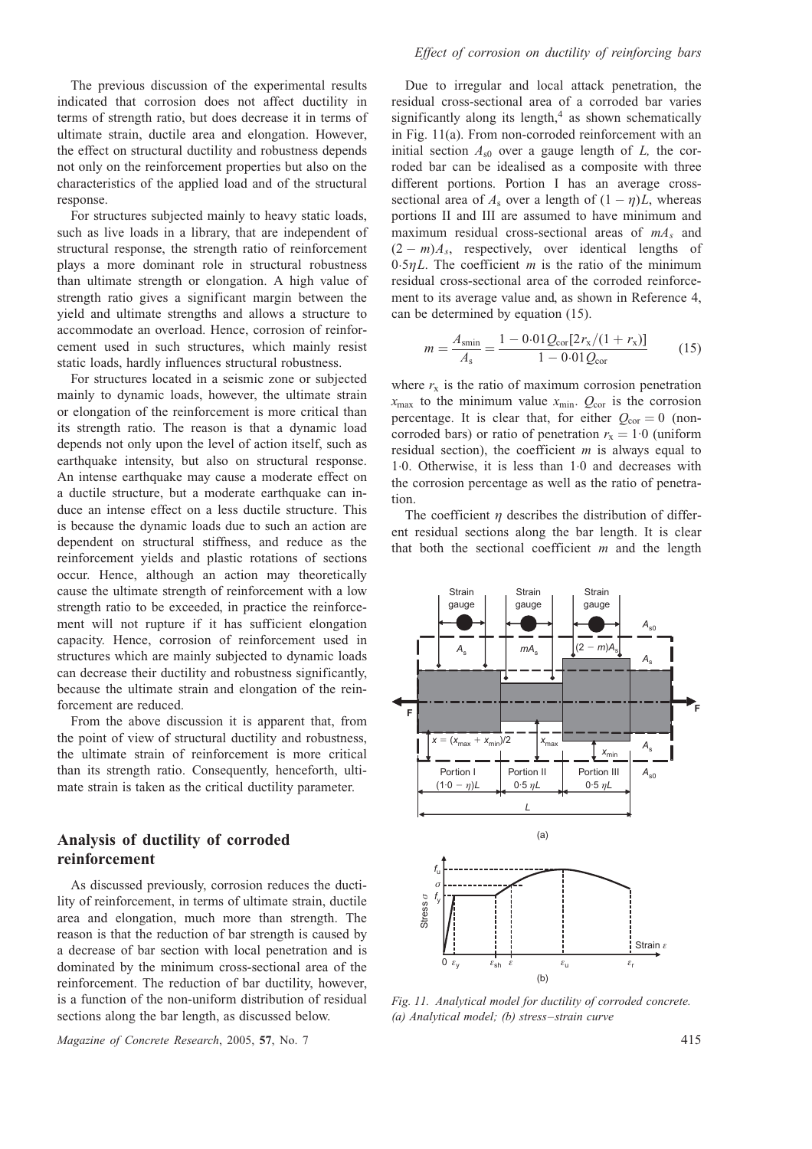<span id="page-8-0"></span>The previous discussion of the experimental results indicated that corrosion does not affect ductility in terms of strength ratio, but does decrease it in terms of ultimate strain, ductile area and elongation. However, the effect on structural ductility and robustness depends not only on the reinforcement properties but also on the characteristics of the applied load and of the structural response.

For structures subjected mainly to heavy static loads, such as live loads in a library, that are independent of structural response, the strength ratio of reinforcement plays a more dominant role in structural robustness than ultimate strength or elongation. A high value of strength ratio gives a significant margin between the yield and ultimate strengths and allows a structure to accommodate an overload. Hence, corrosion of reinforcement used in such structures, which mainly resist static loads, hardly influences structural robustness.

For structures located in a seismic zone or subjected mainly to dynamic loads, however, the ultimate strain or elongation of the reinforcement is more critical than its strength ratio. The reason is that a dynamic load depends not only upon the level of action itself, such as earthquake intensity, but also on structural response. An intense earthquake may cause a moderate effect on a ductile structure, but a moderate earthquake can induce an intense effect on a less ductile structure. This is because the dynamic loads due to such an action are dependent on structural stiffness, and reduce as the reinforcement yields and plastic rotations of sections occur. Hence, although an action may theoretically cause the ultimate strength of reinforcement with a low strength ratio to be exceeded, in practice the reinforcement will not rupture if it has sufficient elongation capacity. Hence, corrosion of reinforcement used in structures which are mainly subjected to dynamic loads can decrease their ductility and robustness significantly, because the ultimate strain and elongation of the reinforcement are reduced.

From the above discussion it is apparent that, from the point of view of structural ductility and robustness, the ultimate strain of reinforcement is more critical than its strength ratio. Consequently, henceforth, ultimate strain is taken as the critical ductility parameter.

#### Analysis of ductility of corroded reinforcement

As discussed previously, corrosion reduces the ductility of reinforcement, in terms of ultimate strain, ductile area and elongation, much more than strength. The reason is that the reduction of bar strength is caused by a decrease of bar section with local penetration and is dominated by the minimum cross-sectional area of the reinforcement. The reduction of bar ductility, however, is a function of the non-uniform distribution of residual sections along the bar length, as discussed below.

Due to irregular and local attack penetration, the residual cross-sectional area of a corroded bar varies significantly along its length, $4$  as shown schematically in Fig. 11(a). From non-corroded reinforcement with an initial section  $A_{s0}$  over a gauge length of L, the corroded bar can be idealised as a composite with three different portions. Portion I has an average crosssectional area of  $A_s$  over a length of  $(1 - \eta)L$ , whereas portions II and III are assumed to have minimum and maximum residual cross-sectional areas of  $mA_s$  and  $(2 - m)A<sub>s</sub>$ , respectively, over identical lengths of  $0.5\n<sub>n</sub>L$ . The coefficient *m* is the ratio of the minimum residual cross-sectional area of the corroded reinforcement to its average value and, as shown in Reference [4,](#page-11-0) can be determined by equation (15).

$$
m = \frac{A_{\text{smin}}}{A_{\text{s}}} = \frac{1 - 0.01 Q_{\text{cor}} [2r_{\text{x}}/(1 + r_{\text{x}})]}{1 - 0.01 Q_{\text{cor}}}
$$
(15)

where  $r<sub>x</sub>$  is the ratio of maximum corrosion penetration  $x_{\text{max}}$  to the minimum value  $x_{\text{min}}$ .  $Q_{\text{cor}}$  is the corrosion percentage. It is clear that, for either  $Q_{cor} = 0$  (noncorroded bars) or ratio of penetration  $r_x = 1.0$  (uniform residual section), the coefficient  $m$  is always equal to 1.0. Otherwise, it is less than 1.0 and decreases with the corrosion percentage as well as the ratio of penetration.

The coefficient  $\eta$  describes the distribution of different residual sections along the bar length. It is clear that both the sectional coefficient  $m$  and the length



Fig. 11. Analytical model for ductility of corroded concrete. (a) Analytical model; (b) stress–strain curve

Magazine of Concrete Research, 2005, 57, No. 7 415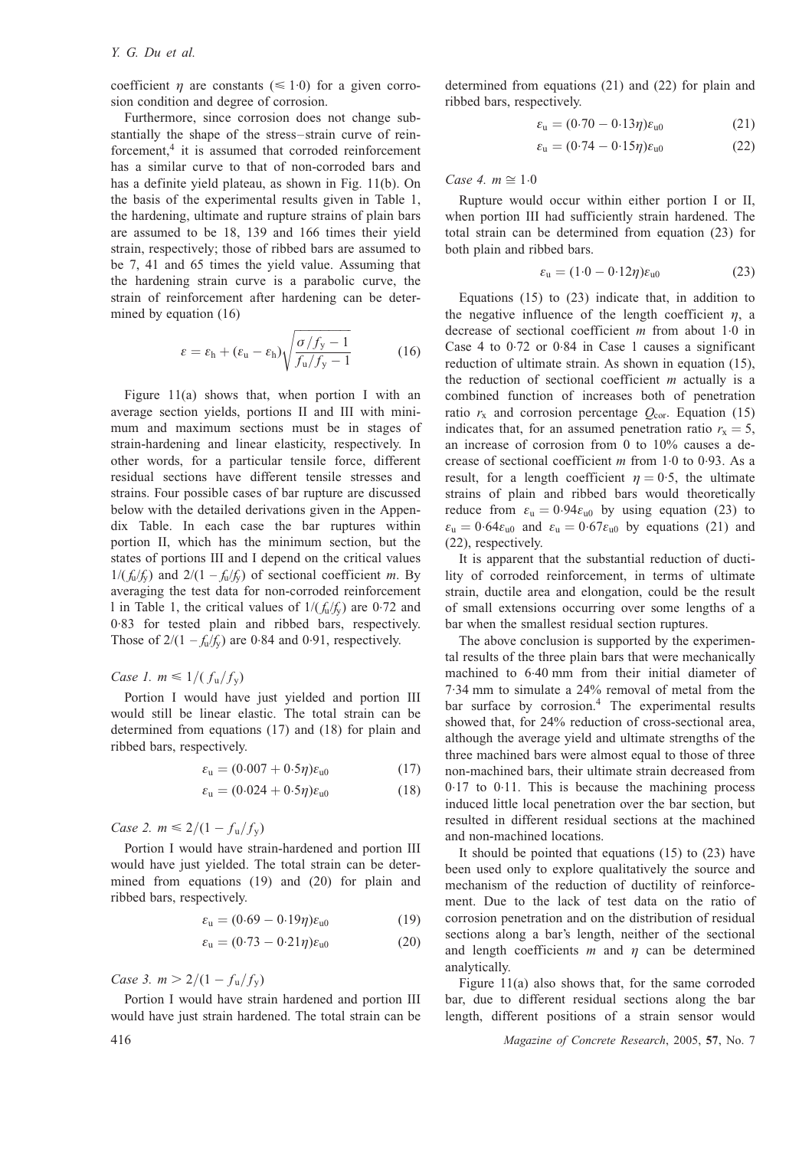coefficient  $\eta$  are constants ( $\leq 1.0$ ) for a given corrosion condition and degree of corrosion.

Furthermore, since corrosion does not change substantially the shape of the stress–strain curve of rein-forcement,<sup>[4](#page-11-0)</sup> it is assumed that corroded reinforcement has a similar curve to that of non-corroded bars and has a definite yield plateau, as shown in Fig. [11\(](#page-8-0)b). On the basis of the experimental results given in Table [1,](#page-4-0) the hardening, ultimate and rupture strains of plain bars are assumed to be 18, 139 and 166 times their yield strain, respectively; those of ribbed bars are assumed to be 7, 41 and 65 times the yield value. Assuming that the hardening strain curve is a parabolic curve, the strain of reinforcement after hardening can be determined by equation (16)

$$
\varepsilon = \varepsilon_{\rm h} + (\varepsilon_{\rm u} - \varepsilon_{\rm h}) \sqrt{\frac{\sigma/f_{\rm y} - 1}{f_{\rm u}/f_{\rm y} - 1}} \tag{16}
$$

Figure  $11(a)$  shows that, when portion I with an average section yields, portions II and III with minimum and maximum sections must be in stages of strain-hardening and linear elasticity, respectively. In other words, for a particular tensile force, different residual sections have different tensile stresses and strains. Four possible cases of bar rupture are discussed below with the detailed derivations given in the [Appen](#page-12-0)[dix Table.](#page-12-0) In each case the bar ruptures within portion II, which has the minimum section, but the states of portions III and I depend on the critical values  $1/(f_u/f_v)$  and  $2/(1 - f_u/f_v)$  of sectional coefficient m. By averaging the test data for non-corroded reinforcement l in Table [1,](#page-4-0) the critical values of  $1/(f_{\rm n}/f_{\rm v})$  are 0.72 and 0.83 for tested plain and ribbed bars, respectively. Those of  $2/(1 - f_u/f_y)$  are 0.84 and 0.91, respectively.

#### Case 1.  $m \leq 1/(f_u/f_v)$

Portion I would have just yielded and portion III would still be linear elastic. The total strain can be determined from equations (17) and (18) for plain and ribbed bars, respectively.

$$
\varepsilon_{\rm u} = (0.007 + 0.5\eta)\varepsilon_{\rm u0} \tag{17}
$$

$$
\varepsilon_{\mathbf{u}} = (0.024 + 0.5\eta)\varepsilon_{\mathbf{u}0} \tag{18}
$$

*Case 2.*  $m \le 2/(1 - f_u/f_y)$ 

-

Portion I would have strain-hardened and portion III would have just yielded. The total strain can be determined from equations (19) and (20) for plain and ribbed bars, respectively.

$$
\varepsilon_{\mathbf{u}} = (0.69 - 0.19\eta)\varepsilon_{\mathbf{u}0} \tag{19}
$$

$$
\varepsilon_{\mathbf{u}} = (0.73 - 0.21\eta)\varepsilon_{\mathbf{u}0} \tag{20}
$$

*Case 3.*  $m > 2/(1 - f_u/f_y)$ 

Portion I would have strain hardened and portion III would have just strain hardened. The total strain can be

determined from equations (21) and (22) for plain and ribbed bars, respectively.

$$
\varepsilon_{\mathbf{u}} = (0.70 - 0.13\eta)\varepsilon_{\mathbf{u}0} \tag{21}
$$

$$
\varepsilon_{\mathbf{u}} = (0.74 - 0.15\eta)\varepsilon_{\mathbf{u}0} \tag{22}
$$

Case 4.  $m \approx 1.0$ 

Rupture would occur within either portion I or II, when portion III had sufficiently strain hardened. The total strain can be determined from equation (23) for both plain and ribbed bars.

$$
\varepsilon_{\mathbf{u}} = (1 \cdot 0 - 0 \cdot 12\eta) \varepsilon_{\mathbf{u}0} \tag{23}
$$

Equations [\(15](#page-8-0)) to (23) indicate that, in addition to the negative influence of the length coefficient  $\eta$ , a decrease of sectional coefficient m from about 1.0 in Case 4 to  $0.72$  or  $0.84$  in Case 1 causes a significant reduction of ultimate strain. As shown in equation [\(15](#page-8-0)), the reduction of sectional coefficient  $m$  actually is a combined function of increases both of penetration ratio  $r<sub>x</sub>$  and corrosion percentage  $Q<sub>cor</sub>$ . Equation [\(15](#page-8-0)) indicates that, for an assumed penetration ratio  $r_x = 5$ , an increase of corrosion from 0 to 10% causes a decrease of sectional coefficient  $m$  from 1.0 to 0.93. As a result, for a length coefficient  $\eta = 0.5$ , the ultimate strains of plain and ribbed bars would theoretically reduce from  $\varepsilon_{\rm u} = 0.94 \varepsilon_{\rm u0}$  by using equation (23) to  $\varepsilon_{\rm u} = 0.64 \varepsilon_{\rm u0}$  and  $\varepsilon_{\rm u} = 0.67 \varepsilon_{\rm u0}$  by equations (21) and (22), respectively.

It is apparent that the substantial reduction of ductility of corroded reinforcement, in terms of ultimate strain, ductile area and elongation, could be the result of small extensions occurring over some lengths of a bar when the smallest residual section ruptures.

The above conclusion is supported by the experimental results of the three plain bars that were mechanically machined to 6.40 mm from their initial diameter of 7.34 mm to simulate a 24% removal of metal from the bar surface by corrosion.<sup>[4](#page-11-0)</sup> The experimental results showed that, for 24% reduction of cross-sectional area, although the average yield and ultimate strengths of the three machined bars were almost equal to those of three non-machined bars, their ultimate strain decreased from 0. 17 to 0. 11. This is because the machining process induced little local penetration over the bar section, but resulted in different residual sections at the machined and non-machined locations.

It should be pointed that equations [\(15](#page-8-0)) to (23) have been used only to explore qualitatively the source and mechanism of the reduction of ductility of reinforcement. Due to the lack of test data on the ratio of corrosion penetration and on the distribution of residual sections along a bar's length, neither of the sectional and length coefficients  $m$  and  $\eta$  can be determined analytically.

Figure [11\(](#page-8-0)a) also shows that, for the same corroded bar, due to different residual sections along the bar length, different positions of a strain sensor would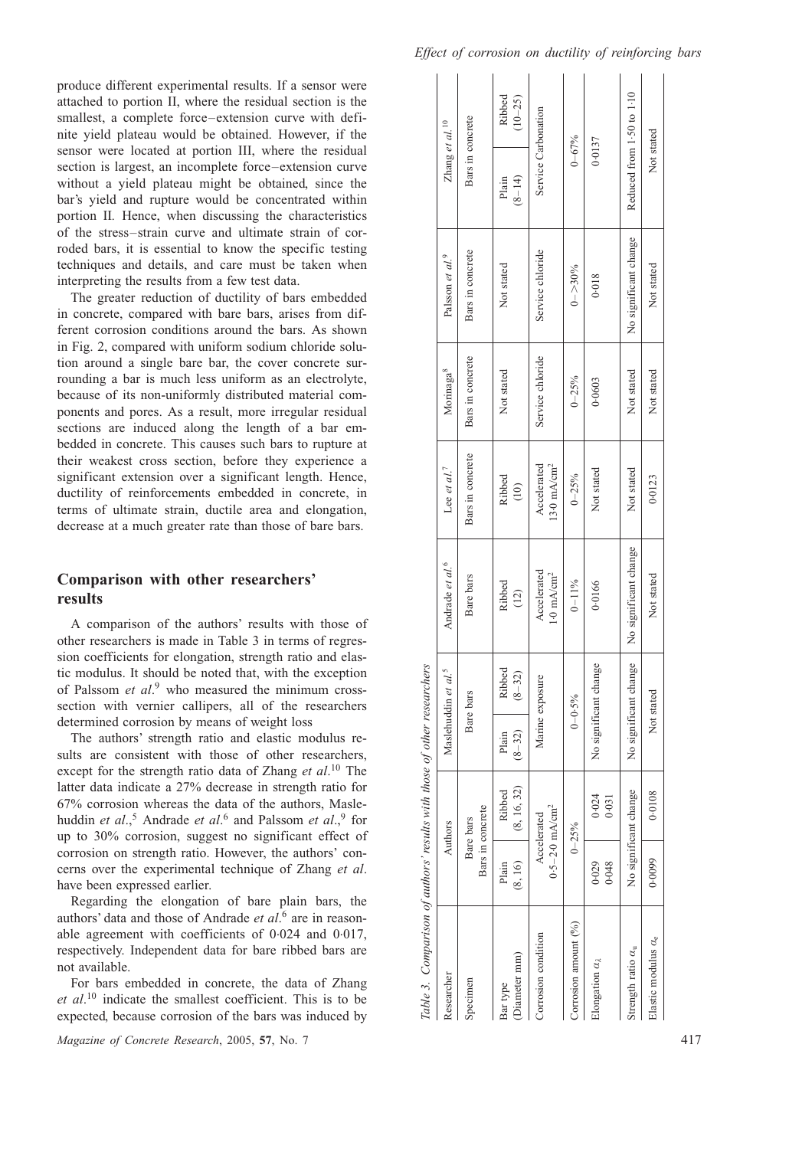produce different experimental results. If a sensor were attached to portion II, where the residual section is the smallest, a complete force–extension curve with definite yield plateau would be obtained. However, if the sensor were located at portion III, where the residual section is largest, an incomplete force–extension curve without a yield plateau might be obtained, since the bar's yield and rupture would be concentrated within portion II. Hence, when discussing the characteristics of the stress–strain curve and ultimate strain of corroded bars, it is essential to know the specific testing techniques and details, and care must be taken when interpreting the results from a few test data.

The greater reduction of ductility of bars embedded in concrete, compared with bare bars, arises from different corrosion conditions around the bars. As shown in Fig. [2,](#page-3-0) compared with uniform sodium chloride solution around a single bare bar, the cover concrete surrounding a bar is much less uniform as an electrolyte, because of its non-uniformly distributed material components and pores. As a result, more irregular residual sections are induced along the length of a bar embedded in concrete. This causes such bars to rupture at their weakest cross section, before they experience a significant extension over a significant length. Hence, ductility of reinforcements embedded in concrete, in terms of ultimate strain, ductile area and elongation, decrease at a much greater rate than those of bare bars.

# Comparison with other researchers' results

A comparison of the authors' results with those of other researchers is made in Table 3 in terms of regression coefficients for elongation, strength ratio and elastic modulus. It should be noted that, with the exception of Palssom  $et$   $al$ .<sup>[9](#page-11-0)</sup> who measured the minimum crosssection with vernier callipers, all of the researchers determined corrosion by means of weight loss

The authors' strength ratio and elastic modulus results are consistent with those of other researchers, except for the strength ratio data of Zhang et al.<sup>[10](#page-12-0)</sup> The latter data indicate a 27% decrease in strength ratio for 67% corrosion whereas the data of the authors, Maslehuddin *et al.*,<sup>[5](#page-11-0)</sup> Andrade *et al.*<sup>[6](#page-11-0)</sup> and Palssom *et al.*,<sup>[9](#page-11-0)</sup> for up to 30% corrosion, suggest no significant effect of corrosion on strength ratio. However, the authors' concerns over the experimental technique of Zhang et al. have been expressed earlier.

Regarding the elongation of bare plain bars, the authors' data and those of Andrade et al.<sup>[6](#page-11-0)</sup> are in reasonable agreement with coefficients of 0.024 and 0.017, respectively. Independent data for bare ribbed bars are not available.

For bars embedded in concrete, the data of Zhang et  $al$ <sup>[10](#page-12-0)</sup> indicate the smallest coefficient. This is to be expected, because corrosion of the bars was induced by

Magazine of Concrete Research, 2005, 57, No. 7 417

| Table 3. Comparison of authors' results with those of other researchers |                                |                       |                     |                                 |                                      |                                          |                       |                             |                           |                       |
|-------------------------------------------------------------------------|--------------------------------|-----------------------|---------------------|---------------------------------|--------------------------------------|------------------------------------------|-----------------------|-----------------------------|---------------------------|-----------------------|
| Researcher                                                              |                                | Authors               |                     | Maslehuddin et al. <sup>5</sup> | Andrade et al. <sup>6</sup>          | Lee et al. $\overline{\phantom{a}}$      | Morinaga <sup>8</sup> | Palsson et al. <sup>9</sup> | Zhang et al. $^{10}$      |                       |
| Specimen                                                                | Bars in concrete               | Bare bars             |                     | Bare bars                       | Bare bars                            | Bars in concrete                         | Bars in concrete      | Bars in concrete            | Bars in concrete          |                       |
| Diameter mm<br>Bar type                                                 | (8, 16)<br>Plain               | (8, 16, 32)<br>Ribbed | $(8 - 32)$<br>Plain | Ribbed<br>$(8 - 32)$            | Ribbed<br>(12)                       | Ribbed<br>(10)                           | Not stated            | Not stated                  | $(8 - 14)$<br>Plain       | Ribbed<br>$(10 - 25)$ |
| Corrosion condition                                                     | $0.5 - 2.0$ mA/cm <sup>2</sup> | Accelerated           |                     | Marine exposure                 | Accelerated<br>$1.0 \text{ mA/cm}^2$ | $13.0$ mA/cm <sup>2</sup><br>Accelerated | Service chloride      | Service chloride            | Service Carbonation       |                       |
| Corrosion amount (%)                                                    |                                | $0 - 25\%$            |                     | $0 - 0.5\%$                     | $0 - 11\%$                           | $0 - 25%$                                | $0 - 25\%$            | $0 - > 30\%$                | $0 - 67%$                 |                       |
| Elongation $\alpha_{\lambda}$                                           | 0.029<br>0.048                 | 0.024<br>0.031        |                     | No significant change           | 0.0166                               | Not stated                               | 0.0603                | 0.018                       | 0.0137                    |                       |
| Strength ratio $\alpha$ <sub>u</sub>                                    |                                | No significant change |                     | No significant change           | No significant change                | Not stated                               | Not stated            | No significant change       | Reduced from 1.50 to 1.10 |                       |
| Elastic modulus $\alpha_e$                                              | 0.0099                         | 0.0108                | Not stated          |                                 | Not stated                           | 0.0123                                   | Not stated            | Not stated                  | Not stated                |                       |
|                                                                         |                                |                       |                     |                                 |                                      |                                          |                       |                             |                           |                       |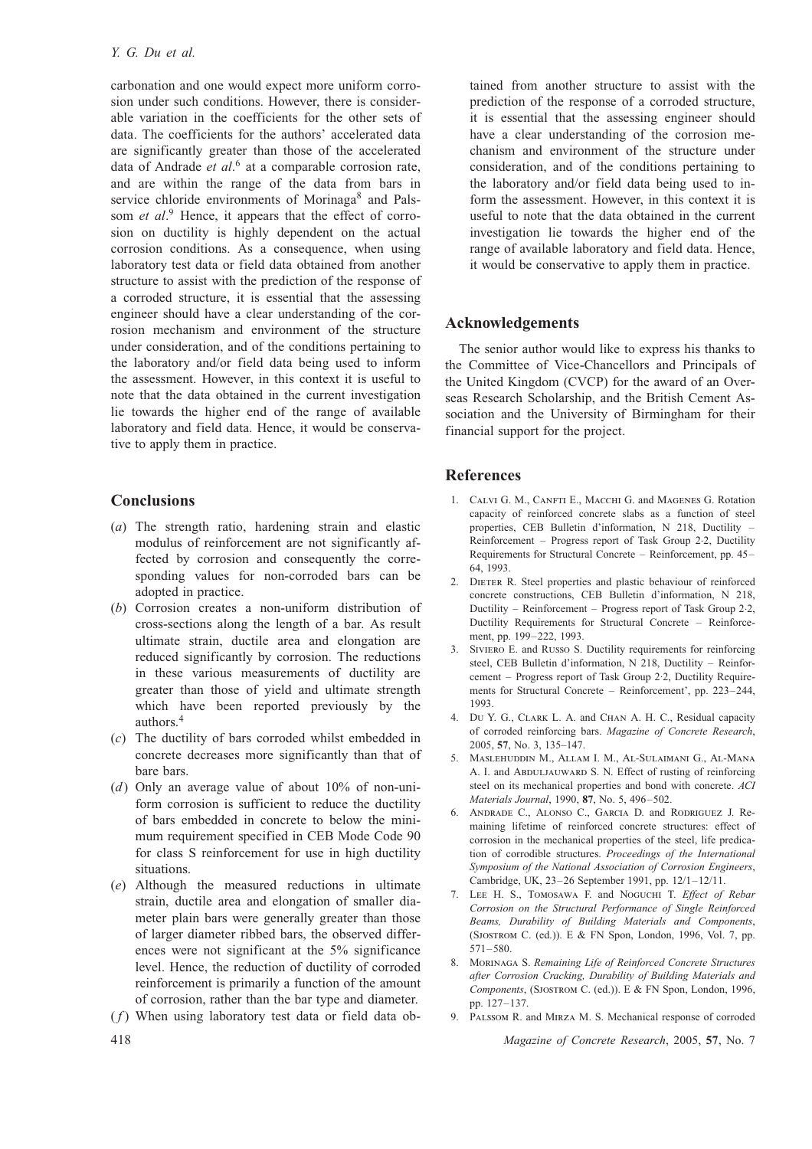<span id="page-11-0"></span>carbonation and one would expect more uniform corrosion under such conditions. However, there is considerable variation in the coefficients for the other sets of data. The coefficients for the authors' accelerated data are significantly greater than those of the accelerated data of Andrade et al.<sup>6</sup> at a comparable corrosion rate, and are within the range of the data from bars in service chloride environments of Morinaga<sup>8</sup> and Palssom et al.<sup>9</sup> Hence, it appears that the effect of corrosion on ductility is highly dependent on the actual corrosion conditions. As a consequence, when using laboratory test data or field data obtained from another structure to assist with the prediction of the response of a corroded structure, it is essential that the assessing engineer should have a clear understanding of the corrosion mechanism and environment of the structure under consideration, and of the conditions pertaining to the laboratory and/or field data being used to inform the assessment. However, in this context it is useful to note that the data obtained in the current investigation lie towards the higher end of the range of available laboratory and field data. Hence, it would be conservative to apply them in practice.

#### Conclusions

- (a) The strength ratio, hardening strain and elastic modulus of reinforcement are not significantly affected by corrosion and consequently the corresponding values for non-corroded bars can be adopted in practice.
- (b) Corrosion creates a non-uniform distribution of cross-sections along the length of a bar. As result ultimate strain, ductile area and elongation are reduced significantly by corrosion. The reductions in these various measurements of ductility are greater than those of yield and ultimate strength which have been reported previously by the authors.<sup>4</sup>
- (c) The ductility of bars corroded whilst embedded in concrete decreases more significantly than that of bare bars.
- (d) Only an average value of about  $10\%$  of non-uniform corrosion is sufficient to reduce the ductility of bars embedded in concrete to below the minimum requirement specified in CEB Mode Code 90 for class S reinforcement for use in high ductility situations.
- (e) Although the measured reductions in ultimate strain, ductile area and elongation of smaller diameter plain bars were generally greater than those of larger diameter ribbed bars, the observed differences were not significant at the 5% significance level. Hence, the reduction of ductility of corroded reinforcement is primarily a function of the amount of corrosion, rather than the bar type and diameter.
- $(f)$  When using laboratory test data or field data ob-

tained from another structure to assist with the prediction of the response of a corroded structure, it is essential that the assessing engineer should have a clear understanding of the corrosion mechanism and environment of the structure under consideration, and of the conditions pertaining to the laboratory and/or field data being used to inform the assessment. However, in this context it is useful to note that the data obtained in the current investigation lie towards the higher end of the range of available laboratory and field data. Hence, it would be conservative to apply them in practice.

#### Acknowledgements

The senior author would like to express his thanks to the Committee of Vice-Chancellors and Principals of the United Kingdom (CVCP) for the award of an Overseas Research Scholarship, and the British Cement Association and the University of Birmingham for their financial support for the project.

# References

- 1. CALVI G. M., CANFTI E., MACCHI G. and MAGENES G. Rotation capacity of reinforced concrete slabs as a function of steel properties, CEB Bulletin d'information, N 218, Ductility – Reinforcement – Progress report of Task Group 2. 2, Ductility Requirements for Structural Concrete – Reinforcement, pp. 45– 64, 1993.
- 2. DIETER R. Steel properties and plastic behaviour of reinforced concrete constructions, CEB Bulletin d'information, N 218, Ductility – Reinforcement – Progress report of Task Group 2.2, Ductility Requirements for Structural Concrete – Reinforcement, pp. 199–222, 1993.
- 3. Siviero E. and Russo S. Ductility requirements for reinforcing steel, CEB Bulletin d'information, N 218, Ductility – Reinforcement – Progress report of Task Group 2. 2, Ductility Requirements for Structural Concrete – Reinforcement', pp. 223–244, 1993.
- 4. Du Y. G., Clark L. A. and Chan A. H. C., Residual capacity of corroded reinforcing bars. Magazine of Concrete Research, 2005, 57, No. 3, 135–147.
- 5. Maslehuddin M., Allam I. M., Al-Sulaimani G., Al-Mana A. I. and ABDULJAUWARD S. N. Effect of rusting of reinforcing steel on its mechanical properties and bond with concrete. ACI Materials Journal, 1990, 87, No. 5, 496–502.
- 6. Andrade C., Alonso C., Garcia D. and Rodriguez J. Remaining lifetime of reinforced concrete structures: effect of corrosion in the mechanical properties of the steel, life predication of corrodible structures. Proceedings of the International Symposium of the National Association of Corrosion Engineers, Cambridge, UK, 23–26 September 1991, pp. 12/1–12/11.
- 7. Lee H. S., Tomosawa F. and Noguchi T. Effect of Rebar Corrosion on the Structural Performance of Single Reinforced Beams, Durability of Building Materials and Components, (Sjostrom C. (ed.)). E & FN Spon, London, 1996, Vol. 7, pp. 571–580.
- 8. MORINAGA S. Remaining Life of Reinforced Concrete Structures after Corrosion Cracking, Durability of Building Materials and Components, (Sjostrom C. (ed.)). E & FN Spon, London, 1996, pp. 127–137.
- 9. Palssom R. and Mirza M. S. Mechanical response of corroded

418 Magazine of Concrete Research, 2005, 57, No. 7